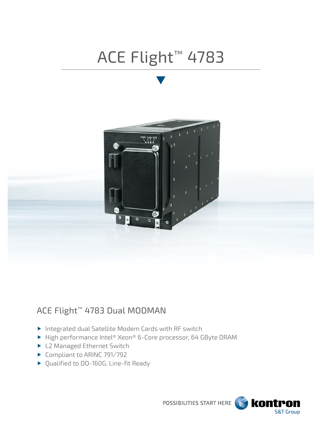# ACE Flight™ 4783



## ACE Flight™ 4783 Dual MODMAN

- Integrated dual Satellite Modem Cards with RF switch
- ▶ High performance Intel® Xeon® 6-Core processor, 64 GByte DRAM
- ▶ L2 Managed Ethernet Switch
- ▶ Compliant to ARINC 791/792
- ▶ Qualified to DO-160G, Line-fit Ready

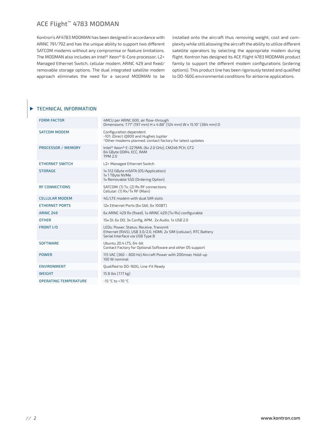### ACE Flight™ 4783 MODMAN

Kontron's AF4783 MDOMAN has been designed in accordance with ARINC 791/792 and has the unique ability to support two different SATCOM modems without any compromise or feature limitations. The MODMAN also includes an Intel® Xeon® 6-Core processor, L2+ Managed Ethernet Switch, cellular modem, ARINC 429 and fixed/ removable storage options. The dual integrated satellite modem approach eliminates the need for a second MODMAN to be installed onto the aircraft thus removing weight, cost and complexity while still allowing the aircraft the ability to utilize different satellite operators by selecting the appropriate modem during flight. Kontron has designed its ACE Flight 4783 MODMAN product family to support the different modem configurations (ordering options). This product line has been rigorously tested and qualified to DO-160G environmental conditions for airborne applications.

#### TECHNICAL INFORMATION

| <b>FORM FACTOR</b>           | 4MCU per ARINC 600, air flow-through<br>Dimensions: 7.77" (197 mm) H x 4.88" (124 mm) W x 15.10" (384 mm) D                                     |  |
|------------------------------|-------------------------------------------------------------------------------------------------------------------------------------------------|--|
| <b>SATCOM MODEM</b>          | Configuration dependent<br>-101: iDirect iO800 and Hughes Jupiter<br>*Other modems planned, contact factory for latest updates                  |  |
| <b>PROCESSOR / MEMORY</b>    | Intel® Xeon® E-2276ML (6x 2.0 GHz), CM246 PCH, GT2<br>64 GByte DDR4, ECC, RAM<br><b>TPM 2.0</b>                                                 |  |
| <b>ETHERNET SWITCH</b>       | L2+ Managed Ethernet Switch                                                                                                                     |  |
| <b>STORAGE</b>               | 1x 512 GByte mSATA (OS/Application)<br>1x 1 TByte NVMe<br>1x Removable SSD (Ordering Option)                                                    |  |
| <b>RF CONNECTIONS</b>        | SATCOM: (1) Tx, (2) Rx RF connections<br>Cellular: (1) Rx/Tx RF (Main)                                                                          |  |
| <b>CELLULAR MODEM</b>        | 4G/LTE modem with dual SIM slots                                                                                                                |  |
| <b>ETHERNET PORTS</b>        | 12x Ethernet Ports (6x GbE, 6x 100BT)                                                                                                           |  |
| <b>ARINC 249</b>             | 6x ARINC 429 Rx (fixed), 1x ARINC 429 (Tx/Rx) configurable                                                                                      |  |
| <b>OTHER</b>                 | 15x DI, 6x DO, 3x Config, APM, 2x Audio, 1x USB 2.0                                                                                             |  |
| FRONT I/O                    | LEDs: Power, Status, Receive, Transmit<br>Ethernet (RJ45), USB 3.0/2.0, HDMI, 2x SIM (cellular), RTC Battery<br>Serial Interface via USB Type B |  |
| <b>SOFTWARE</b>              | Ubuntu 20.4 LTS, 64-bit<br>Contact Factory for Optional Software and other OS support                                                           |  |
| <b>POWER</b>                 | 115 VAC (360 - 800 Hz) Aircraft Power with 200msec Hold-up<br>100 W nominal                                                                     |  |
| <b>ENVIRONMENT</b>           | Oualified to DO-160G, Line-Fit Ready                                                                                                            |  |
| <b>WEIGHT</b>                | 15.8 lbs (7.17 kg)                                                                                                                              |  |
| <b>OPERATING TEMPERATURE</b> | $-15 °C$ to $+70 °C$                                                                                                                            |  |